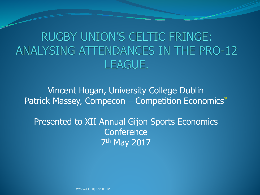**RUGBY UNION'S CELTIC FRINGE:** ANALYSING ATTENDANCES IN THE PRO-12 LEAGUE.

Vincent Hogan, University College Dublin Patrick Massey, Compecon – Competition Economics<sup>\*</sup>

Presented to XII Annual Gijon Sports Economics **Conference** 7th May 2017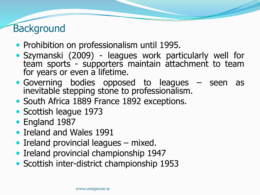### **Background**

- Prohibition on professionalism until 1995.
- Szymanski (2009) leagues work particularly well for team sports - supporters maintain attachment to team for years or even a lifetime.
- Governing bodies opposed to leagues seen as inevitable stepping stone to professionalism.
- South Africa 1889 France 1892 exceptions.
- Scottish league 1973
- England 1987
- Ireland and Wales 1991
- Ireland provincial leagues mixed.
- Ireland provincial championship 1947
- Scottish inter-district championship 1953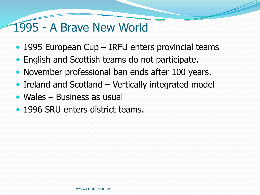#### 1995 - A Brave New World

- 1995 European Cup IRFU enters provincial teams
- English and Scottish teams do not participate.
- November professional ban ends after 100 years.
- Ireland and Scotland Vertically integrated model
- Wales Business as usual
- 1996 SRU enters district teams.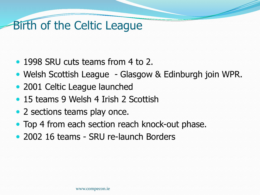# Birth of the Celtic League

- 1998 SRU cuts teams from 4 to 2.
- Welsh Scottish League Glasgow & Edinburgh join WPR.
- 2001 Celtic League launched
- 15 teams 9 Welsh 4 Irish 2 Scottish
- 2 sections teams play once.
- Top 4 from each section reach knock-out phase.
- 2002 16 teams SRU re-launch Borders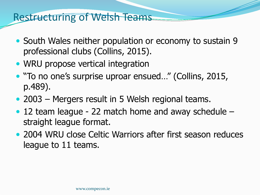#### Restructuring of Welsh Teams

- South Wales neither population or economy to sustain 9 professional clubs (Collins, 2015).
- WRU propose vertical integration
- "To no one's surprise uproar ensued…" (Collins, 2015, p.489).
- 2003 Mergers result in 5 Welsh regional teams.
- 12 team league 22 match home and away schedule straight league format.
- 2004 WRU close Celtic Warriors after first season reduces league to 11 teams.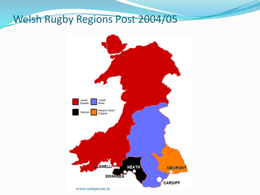#### Welsh Rugby Regions Post 2004/05

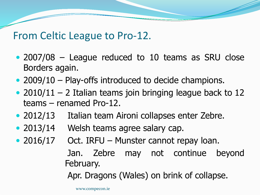#### From Celtic League to Pro-12.

- 2007/08 League reduced to 10 teams as SRU close Borders again.
- 2009/10 Play-offs introduced to decide champions.
- $\bullet$  2010/11 2 Italian teams join bringing league back to 12 teams – renamed Pro-12.
- 2012/13 Italian team Aironi collapses enter Zebre.
- 2013/14 Welsh teams agree salary cap.
- 2016/17 Oct. IRFU Munster cannot repay Ioan.

Jan. Zebre may not continue beyond February.

Apr. Dragons (Wales) on brink of collapse.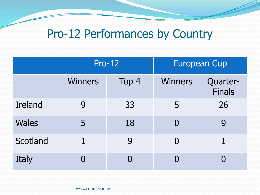## Pro-12 Performances by Country

|                | <b>Pro-12</b>  |       | <b>European Cup</b> |                    |
|----------------|----------------|-------|---------------------|--------------------|
|                | <b>Winners</b> | Top 4 | <b>Winners</b>      | Quarter-<br>Finals |
| <b>Ireland</b> | 9              | 33    | 5                   | 26                 |
| <b>Wales</b>   | 5              | 18    | $\bf{0}$            | 9                  |
| Scotland       |                | 9     | $\Omega$            |                    |
| Italy          | 0              |       | $\boldsymbol{0}$    |                    |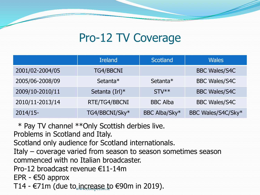# Pro-12 TV Coverage

|                 | <b>Ireland</b>    | <b>Scotland</b> | <b>Wales</b>         |
|-----------------|-------------------|-----------------|----------------------|
| 2001/02-2004/05 | <b>TG4/BBCNI</b>  |                 | <b>BBC Wales/S4C</b> |
| 2005/06-2008/09 | Setanta*          | Setanta*        | <b>BBC Wales/S4C</b> |
| 2009/10-2010/11 | Setanta $(IrI)^*$ | $STV**$         | <b>BBC Wales/S4C</b> |
| 2010/11-2013/14 | RTE/TG4/BBCNI     | <b>BBC Alba</b> | <b>BBC Wales/S4C</b> |
| $2014/15$ -     | TG4/BBCNI/Sky*    | BBC Alba/Sky*   | BBC Wales/S4C/Sky*   |

\* Pay TV channel \*\*Only Scottish derbies live.

Problems in Scotland and Italy.

Scotland only audience for Scotland internationals.

Italy – coverage varied from season to season sometimes season commenced with no Italian broadcaster.

Pro-12 broadcast revenue €11-14m

EPR - €50 approx

T14 - €71m (due to increase to €90m in 2019).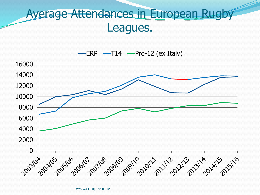### Average Attendances in European Rugby Leagues.

 $\equiv$  ERP  $\equiv$  T14  $\equiv$  Pro-12 (ex Italy)

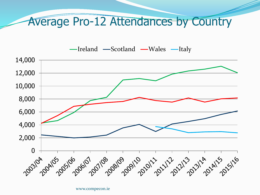#### Average Pro-12 Attendances by Country

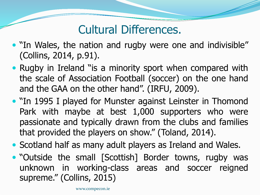## Cultural Differences.

- "In Wales, the nation and rugby were one and indivisible" (Collins, 2014, p.91).
- Rugby in Ireland "is a minority sport when compared with the scale of Association Football (soccer) on the one hand and the GAA on the other hand". (IRFU, 2009).
- "In 1995 I played for Munster against Leinster in Thomond Park with maybe at best 1,000 supporters who were passionate and typically drawn from the clubs and families that provided the players on show." (Toland, 2014).
- Scotland half as many adult players as Ireland and Wales.
- "Outside the small [Scottish] Border towns, rugby was unknown in working-class areas and soccer reigned supreme." (Collins, 2015)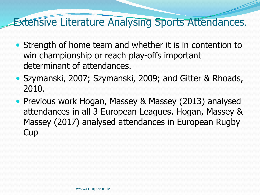#### **Extensive Literature Analysing Sports Attendances.**

- Strength of home team and whether it is in contention to win championship or reach play-offs important determinant of attendances.
- Szymanski, 2007; Szymanski, 2009; and Gitter & Rhoads, 2010.
- Previous work Hogan, Massey & Massey (2013) analysed attendances in all 3 European Leagues. Hogan, Massey & Massey (2017) analysed attendances in European Rugby **Cup**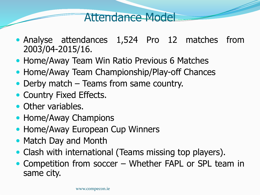#### Attendance Model

- Analyse attendances 1,524 Pro 12 matches from 2003/04-2015/16.
- Home/Away Team Win Ratio Previous 6 Matches
- Home/Away Team Championship/Play-off Chances
- Derby match Teams from same country.
- Country Fixed Effects.
- Other variables.
- Home/Away Champions
- Home/Away European Cup Winners
- Match Day and Month
- Clash with international (Teams missing top players).
- Competition from soccer Whether FAPL or SPL team in same city.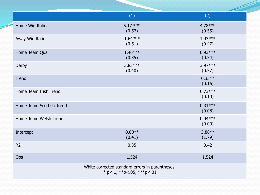|                                                                                      | (1)                 | (2)                 |  |  |
|--------------------------------------------------------------------------------------|---------------------|---------------------|--|--|
| Home Win Ratio                                                                       | $5.17***$<br>(0.57) | 4.78 ***<br>(0.55)  |  |  |
| Away Win Ratio                                                                       | $1.64***$<br>(0.51) | $1.43***$<br>(0.47) |  |  |
| Home Team Qual                                                                       | $1.46***$<br>(0.35) | $0.93***$<br>(0.34) |  |  |
| Derby                                                                                | $3.83***$<br>(0.40) | $3.97***$<br>(0.37) |  |  |
| <b>Trend</b>                                                                         |                     | $0.35**$<br>(0.16)  |  |  |
| Home Team Irish Trend                                                                |                     | $0.73***$<br>(0.10) |  |  |
| Home Team Scottish Trend                                                             |                     | $0.31***$<br>(0.08) |  |  |
| Home Team Welsh Trend                                                                |                     | $0.44***$<br>(0.09) |  |  |
| Intercept                                                                            | $0.80**$<br>(0.41)  | $3.88**$<br>(1.79)  |  |  |
| R <sub>2</sub>                                                                       | 0.35                | 0.42                |  |  |
| Obs                                                                                  | 1,524               | 1,524               |  |  |
| White corrected standard errors in parentheses.<br>* p <. 1, ** p <. 05, *** p <. 01 |                     |                     |  |  |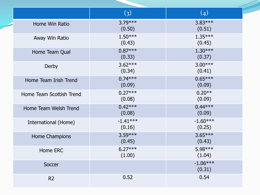|                          | $\left( 3\right)$    | (4)                  |
|--------------------------|----------------------|----------------------|
| Home Win Ratio           | $3.79***$<br>(0.50)  | $3.83***$<br>(0.51)  |
| Away Win Ratio           | $1.50***$<br>(0.43)  | $1.35***$<br>(0.45)  |
| Home Team Qual           | $0.87***$<br>(0.33)  | $1.30***$<br>(0.37)  |
| Derby                    | $3.62***$<br>(0.34)  | $3.00***$<br>(0.41)  |
| Home Team Irish Trend    | $0.74***$<br>(0.09)  | $0.65***$<br>(0.09)  |
| Home Team Scottish Trend | $0.27***$<br>(0.08)  | $0.20**$<br>(0.09)   |
| Home Team Welsh Trend    | $0.42***$<br>(0.08)  | $0.44***$<br>(0.09)  |
| International (Home)     | $-1.41***$<br>(0.16) | $-1.60***$<br>(0.25) |
| Home Champions           | $3.59***$<br>(0.45)  | $3.65***$<br>(0.43)  |
| Home ERC                 | $6.27***$<br>(1.00)  | 5.98***<br>(1.04)    |
| Soccer                   |                      | $-1.06***$<br>(0.31) |
| R <sub>2</sub>           | 0.52                 | 0.54                 |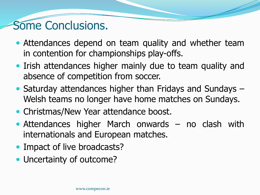### Some Conclusions.

- Attendances depend on team quality and whether team in contention for championships play-offs.
- Irish attendances higher mainly due to team quality and absence of competition from soccer.
- Saturday attendances higher than Fridays and Sundays Welsh teams no longer have home matches on Sundays.
- Christmas/New Year attendance boost.
- Attendances higher March onwards no clash with internationals and European matches.
- Impact of live broadcasts?
- Uncertainty of outcome?